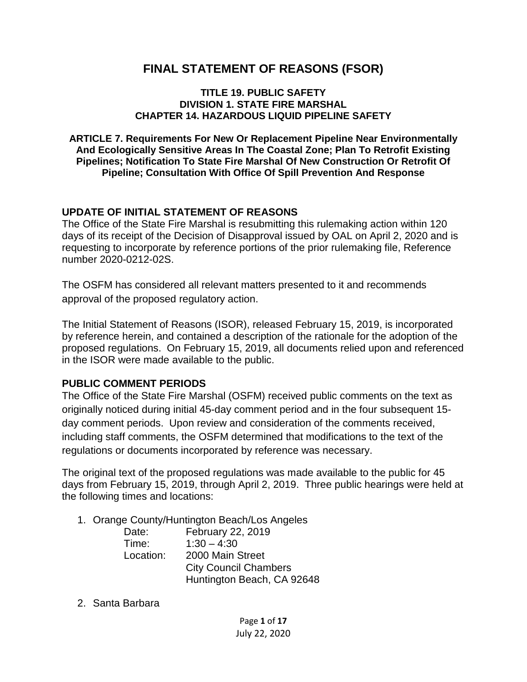# **FINAL STATEMENT OF REASONS (FSOR)**

#### **TITLE 19. PUBLIC SAFETY DIVISION 1. STATE FIRE MARSHAL CHAPTER 14. HAZARDOUS LIQUID PIPELINE SAFETY**

**ARTICLE 7. Requirements For New Or Replacement Pipeline Near Environmentally And Ecologically Sensitive Areas In The Coastal Zone; Plan To Retrofit Existing Pipelines; Notification To State Fire Marshal Of New Construction Or Retrofit Of Pipeline; Consultation With Office Of Spill Prevention And Response**

#### **UPDATE OF INITIAL STATEMENT OF REASONS**

The Office of the State Fire Marshal is resubmitting this rulemaking action within 120 days of its receipt of the Decision of Disapproval issued by OAL on April 2, 2020 and is requesting to incorporate by reference portions of the prior rulemaking file, Reference number 2020-0212-02S.

The OSFM has considered all relevant matters presented to it and recommends approval of the proposed regulatory action.

The Initial Statement of Reasons (ISOR), released February 15, 2019, is incorporated by reference herein, and contained a description of the rationale for the adoption of the proposed regulations. On February 15, 2019, all documents relied upon and referenced in the ISOR were made available to the public.

#### **PUBLIC COMMENT PERIODS**

The Office of the State Fire Marshal (OSFM) received public comments on the text as originally noticed during initial 45-day comment period and in the four subsequent 15 day comment periods. Upon review and consideration of the comments received, including staff comments, the OSFM determined that modifications to the text of the regulations or documents incorporated by reference was necessary.

The original text of the proposed regulations was made available to the public for 45 days from February 15, 2019, through April 2, 2019. Three public hearings were held at the following times and locations:

1. Orange County/Huntington Beach/Los Angeles

| Date:     | February 22, 2019            |
|-----------|------------------------------|
| Time:     | $1:30 - 4:30$                |
| Location: | 2000 Main Street             |
|           | <b>City Council Chambers</b> |
|           | Huntington Beach, CA 92648   |

2. Santa Barbara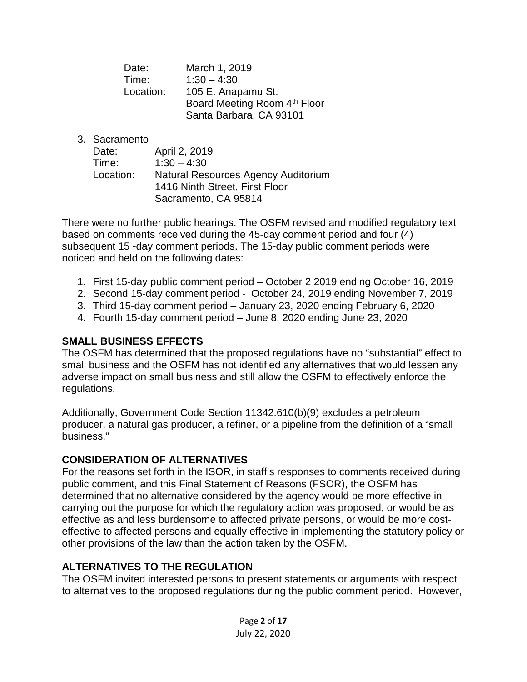| Date:     | March 1, 2019                |
|-----------|------------------------------|
| Time:     | $1:30 - 4:30$                |
| Location: | 105 E. Anapamu St.           |
|           | Board Meeting Room 4th Floor |
|           | Santa Barbara, CA 93101      |

3. Sacramento

| Date:     | April 2, 2019                       |
|-----------|-------------------------------------|
| Time:     | $1:30 - 4:30$                       |
| Location: | Natural Resources Agency Auditorium |
|           | 1416 Ninth Street, First Floor      |
|           | Sacramento, CA 95814                |

There were no further public hearings. The OSFM revised and modified regulatory text based on comments received during the 45-day comment period and four (4) subsequent 15 -day comment periods. The 15-day public comment periods were noticed and held on the following dates:

- 1. First 15-day public comment period October 2 2019 ending October 16, 2019
- 2. Second 15-day comment period October 24, 2019 ending November 7, 2019
- 3. Third 15-day comment period January 23, 2020 ending February 6, 2020
- 4. Fourth 15-day comment period June 8, 2020 ending June 23, 2020

### **SMALL BUSINESS EFFECTS**

The OSFM has determined that the proposed regulations have no "substantial" effect to small business and the OSFM has not identified any alternatives that would lessen any adverse impact on small business and still allow the OSFM to effectively enforce the regulations.

Additionally, Government Code Section 11342.610(b)(9) excludes a petroleum producer, a natural gas producer, a refiner, or a pipeline from the definition of a "small business."

#### **CONSIDERATION OF ALTERNATIVES**

For the reasons set forth in the ISOR, in staff's responses to comments received during public comment, and this Final Statement of Reasons (FSOR), the OSFM has determined that no alternative considered by the agency would be more effective in carrying out the purpose for which the regulatory action was proposed, or would be as effective as and less burdensome to affected private persons, or would be more costeffective to affected persons and equally effective in implementing the statutory policy or other provisions of the law than the action taken by the OSFM.

### **ALTERNATIVES TO THE REGULATION**

The OSFM invited interested persons to present statements or arguments with respect to alternatives to the proposed regulations during the public comment period. However,

> Page **2** of **17** July 22, 2020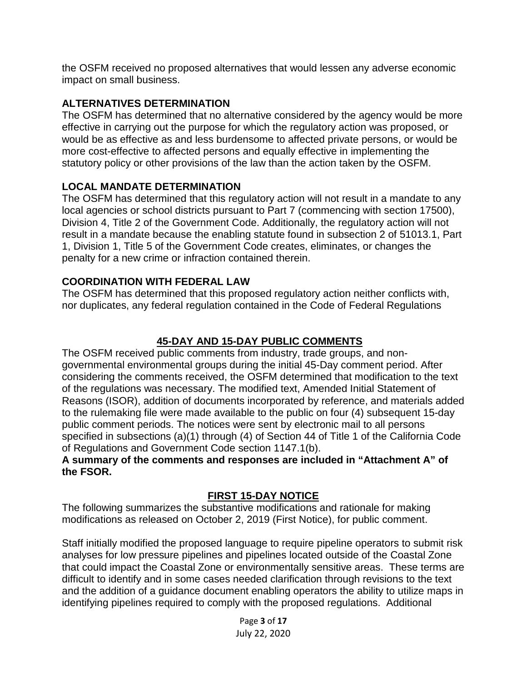the OSFM received no proposed alternatives that would lessen any adverse economic impact on small business.

### **ALTERNATIVES DETERMINATION**

The OSFM has determined that no alternative considered by the agency would be more effective in carrying out the purpose for which the regulatory action was proposed, or would be as effective as and less burdensome to affected private persons, or would be more cost-effective to affected persons and equally effective in implementing the statutory policy or other provisions of the law than the action taken by the OSFM.

## **LOCAL MANDATE DETERMINATION**

The OSFM has determined that this regulatory action will not result in a mandate to any local agencies or school districts pursuant to Part 7 (commencing with section 17500), Division 4, Title 2 of the Government Code. Additionally, the regulatory action will not result in a mandate because the enabling statute found in subsection 2 of 51013.1, Part 1, Division 1, Title 5 of the Government Code creates, eliminates, or changes the penalty for a new crime or infraction contained therein.

## **COORDINATION WITH FEDERAL LAW**

The OSFM has determined that this proposed regulatory action neither conflicts with, nor duplicates, any federal regulation contained in the Code of Federal Regulations

# **45-DAY AND 15-DAY PUBLIC COMMENTS**

The OSFM received public comments from industry, trade groups, and nongovernmental environmental groups during the initial 45-Day comment period. After considering the comments received, the OSFM determined that modification to the text of the regulations was necessary. The modified text, Amended Initial Statement of Reasons (ISOR), addition of documents incorporated by reference, and materials added to the rulemaking file were made available to the public on four (4) subsequent 15-day public comment periods. The notices were sent by electronic mail to all persons specified in subsections (a)(1) through (4) of Section 44 of Title 1 of the California Code of Regulations and Government Code section 1147.1(b).

#### **A summary of the comments and responses are included in "Attachment A" of the FSOR.**

## **FIRST 15-DAY NOTICE**

The following summarizes the substantive modifications and rationale for making modifications as released on October 2, 2019 (First Notice), for public comment.

Staff initially modified the proposed language to require pipeline operators to submit risk analyses for low pressure pipelines and pipelines located outside of the Coastal Zone that could impact the Coastal Zone or environmentally sensitive areas. These terms are difficult to identify and in some cases needed clarification through revisions to the text and the addition of a guidance document enabling operators the ability to utilize maps in identifying pipelines required to comply with the proposed regulations. Additional

> Page **3** of **17** July 22, 2020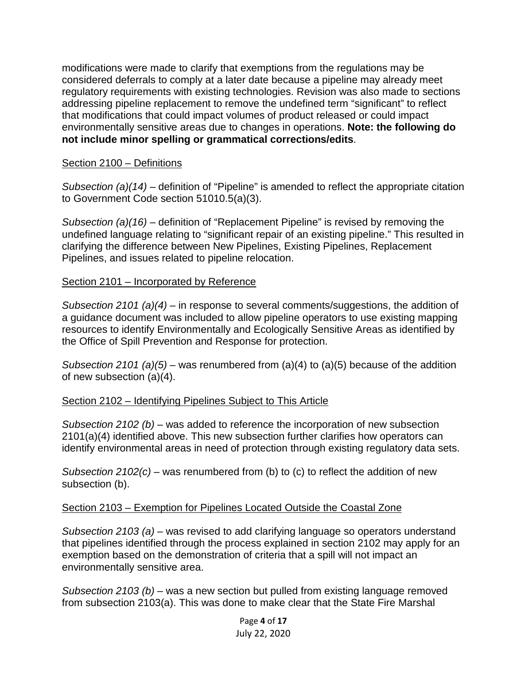modifications were made to clarify that exemptions from the regulations may be considered deferrals to comply at a later date because a pipeline may already meet regulatory requirements with existing technologies. Revision was also made to sections addressing pipeline replacement to remove the undefined term "significant" to reflect that modifications that could impact volumes of product released or could impact environmentally sensitive areas due to changes in operations. **Note: the following do not include minor spelling or grammatical corrections/edits**.

#### Section 2100 – Definitions

*Subsection (a)(14)* – definition of "Pipeline" is amended to reflect the appropriate citation to Government Code section 51010.5(a)(3).

*Subsection (a)(16)* – definition of "Replacement Pipeline" is revised by removing the undefined language relating to "significant repair of an existing pipeline." This resulted in clarifying the difference between New Pipelines, Existing Pipelines, Replacement Pipelines, and issues related to pipeline relocation.

#### Section 2101 – Incorporated by Reference

*Subsection 2101 (a)(4)* – in response to several comments/suggestions, the addition of a guidance document was included to allow pipeline operators to use existing mapping resources to identify Environmentally and Ecologically Sensitive Areas as identified by the Office of Spill Prevention and Response for protection.

*Subsection 2101 (a)(5)* – was renumbered from (a)(4) to (a)(5) because of the addition of new subsection (a)(4).

### Section 2102 – Identifying Pipelines Subject to This Article

*Subsection 2102 (b)* – was added to reference the incorporation of new subsection 2101(a)(4) identified above. This new subsection further clarifies how operators can identify environmental areas in need of protection through existing regulatory data sets.

*Subsection 2102(c)* – was renumbered from (b) to (c) to reflect the addition of new subsection (b).

#### Section 2103 – Exemption for Pipelines Located Outside the Coastal Zone

*Subsection 2103 (a)* – was revised to add clarifying language so operators understand that pipelines identified through the process explained in section 2102 may apply for an exemption based on the demonstration of criteria that a spill will not impact an environmentally sensitive area.

*Subsection 2103 (b)* – was a new section but pulled from existing language removed from subsection 2103(a). This was done to make clear that the State Fire Marshal

> Page **4** of **17** July 22, 2020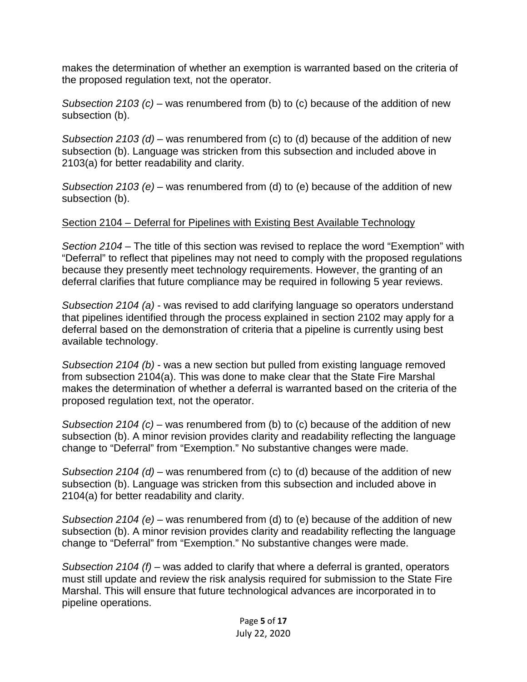makes the determination of whether an exemption is warranted based on the criteria of the proposed regulation text, not the operator.

*Subsection 2103 (c)* – was renumbered from (b) to (c) because of the addition of new subsection (b).

*Subsection 2103 (d)* – was renumbered from (c) to (d) because of the addition of new subsection (b). Language was stricken from this subsection and included above in 2103(a) for better readability and clarity.

*Subsection 2103 (e)* – was renumbered from (d) to (e) because of the addition of new subsection (b).

## Section 2104 – Deferral for Pipelines with Existing Best Available Technology

*Section 2104* – The title of this section was revised to replace the word "Exemption" with "Deferral" to reflect that pipelines may not need to comply with the proposed regulations because they presently meet technology requirements. However, the granting of an deferral clarifies that future compliance may be required in following 5 year reviews.

*Subsection 2104 (a)* - was revised to add clarifying language so operators understand that pipelines identified through the process explained in section 2102 may apply for a deferral based on the demonstration of criteria that a pipeline is currently using best available technology.

*Subsection 2104 (b)* - was a new section but pulled from existing language removed from subsection 2104(a). This was done to make clear that the State Fire Marshal makes the determination of whether a deferral is warranted based on the criteria of the proposed regulation text, not the operator.

*Subsection 2104 (c)* – was renumbered from (b) to (c) because of the addition of new subsection (b). A minor revision provides clarity and readability reflecting the language change to "Deferral" from "Exemption." No substantive changes were made.

*Subsection 2104 (d)* – was renumbered from (c) to (d) because of the addition of new subsection (b). Language was stricken from this subsection and included above in 2104(a) for better readability and clarity.

*Subsection 2104 (e)* – was renumbered from (d) to (e) because of the addition of new subsection (b). A minor revision provides clarity and readability reflecting the language change to "Deferral" from "Exemption." No substantive changes were made.

*Subsection 2104 (f)* – was added to clarify that where a deferral is granted, operators must still update and review the risk analysis required for submission to the State Fire Marshal. This will ensure that future technological advances are incorporated in to pipeline operations.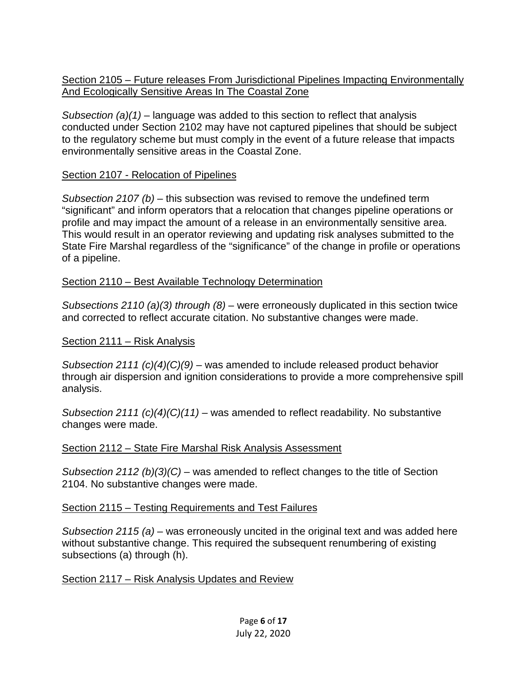Section 2105 – Future releases From Jurisdictional Pipelines Impacting Environmentally And Ecologically Sensitive Areas In The Coastal Zone

*Subsection (a)(1)* – language was added to this section to reflect that analysis conducted under Section 2102 may have not captured pipelines that should be subject to the regulatory scheme but must comply in the event of a future release that impacts environmentally sensitive areas in the Coastal Zone.

## Section 2107 - Relocation of Pipelines

*Subsection 2107 (b)* – this subsection was revised to remove the undefined term "significant" and inform operators that a relocation that changes pipeline operations or profile and may impact the amount of a release in an environmentally sensitive area. This would result in an operator reviewing and updating risk analyses submitted to the State Fire Marshal regardless of the "significance" of the change in profile or operations of a pipeline.

### Section 2110 – Best Available Technology Determination

*Subsections 2110 (a)(3) through (8)* – were erroneously duplicated in this section twice and corrected to reflect accurate citation. No substantive changes were made.

### Section 2111 – Risk Analysis

*Subsection 2111 (c)(4)(C)(9)* – was amended to include released product behavior through air dispersion and ignition considerations to provide a more comprehensive spill analysis.

*Subsection 2111 (c)(4)(C)(11)* – was amended to reflect readability. No substantive changes were made.

### Section 2112 – State Fire Marshal Risk Analysis Assessment

*Subsection 2112 (b)(3)(C)* – was amended to reflect changes to the title of Section 2104. No substantive changes were made.

### Section 2115 – Testing Requirements and Test Failures

*Subsection 2115 (a)* – was erroneously uncited in the original text and was added here without substantive change. This required the subsequent renumbering of existing subsections (a) through (h).

Section 2117 – Risk Analysis Updates and Review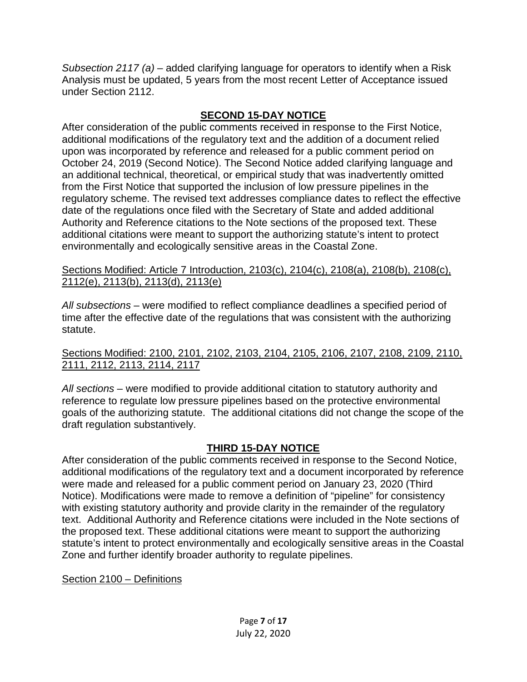*Subsection 2117 (a)* – added clarifying language for operators to identify when a Risk Analysis must be updated, 5 years from the most recent Letter of Acceptance issued under Section 2112.

# **SECOND 15-DAY NOTICE**

After consideration of the public comments received in response to the First Notice, additional modifications of the regulatory text and the addition of a document relied upon was incorporated by reference and released for a public comment period on October 24, 2019 (Second Notice). The Second Notice added clarifying language and an additional technical, theoretical, or empirical study that was inadvertently omitted from the First Notice that supported the inclusion of low pressure pipelines in the regulatory scheme. The revised text addresses compliance dates to reflect the effective date of the regulations once filed with the Secretary of State and added additional Authority and Reference citations to the Note sections of the proposed text. These additional citations were meant to support the authorizing statute's intent to protect environmentally and ecologically sensitive areas in the Coastal Zone.

Sections Modified: Article 7 Introduction, 2103(c), 2104(c), 2108(a), 2108(b), 2108(c), 2112(e), 2113(b), 2113(d), 2113(e)

*All subsections* – were modified to reflect compliance deadlines a specified period of time after the effective date of the regulations that was consistent with the authorizing statute.

Sections Modified: 2100, 2101, 2102, 2103, 2104, 2105, 2106, 2107, 2108, 2109, 2110, 2111, 2112, 2113, 2114, 2117

*All sections* – were modified to provide additional citation to statutory authority and reference to regulate low pressure pipelines based on the protective environmental goals of the authorizing statute. The additional citations did not change the scope of the draft regulation substantively.

## **THIRD 15-DAY NOTICE**

After consideration of the public comments received in response to the Second Notice, additional modifications of the regulatory text and a document incorporated by reference were made and released for a public comment period on January 23, 2020 (Third Notice). Modifications were made to remove a definition of "pipeline" for consistency with existing statutory authority and provide clarity in the remainder of the regulatory text. Additional Authority and Reference citations were included in the Note sections of the proposed text. These additional citations were meant to support the authorizing statute's intent to protect environmentally and ecologically sensitive areas in the Coastal Zone and further identify broader authority to regulate pipelines.

Section 2100 – Definitions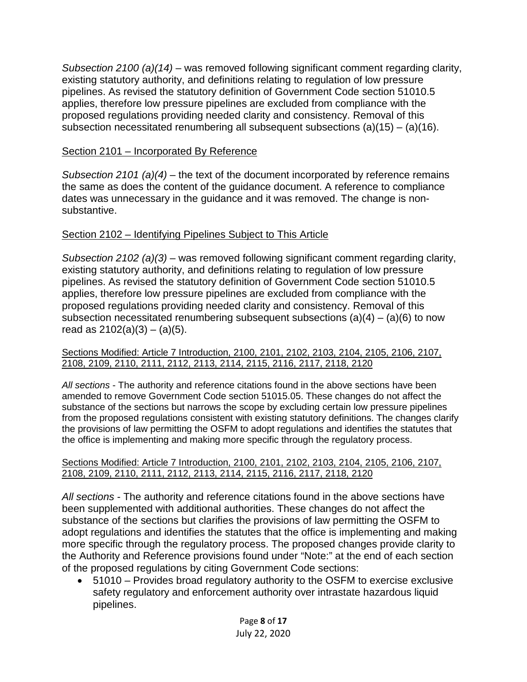*Subsection 2100 (a)(14)* – was removed following significant comment regarding clarity, existing statutory authority, and definitions relating to regulation of low pressure pipelines. As revised the statutory definition of Government Code section 51010.5 applies, therefore low pressure pipelines are excluded from compliance with the proposed regulations providing needed clarity and consistency. Removal of this subsection necessitated renumbering all subsequent subsections  $(a)(15) - (a)(16)$ .

## Section 2101 – Incorporated By Reference

*Subsection 2101 (a)(4)* – the text of the document incorporated by reference remains the same as does the content of the guidance document. A reference to compliance dates was unnecessary in the guidance and it was removed. The change is nonsubstantive.

# Section 2102 – Identifying Pipelines Subject to This Article

*Subsection 2102 (a)(3)* – was removed following significant comment regarding clarity, existing statutory authority, and definitions relating to regulation of low pressure pipelines. As revised the statutory definition of Government Code section 51010.5 applies, therefore low pressure pipelines are excluded from compliance with the proposed regulations providing needed clarity and consistency. Removal of this subsection necessitated renumbering subsequent subsections  $(a)(4) - (a)(6)$  to now read as  $2102(a)(3) - (a)(5)$ .

#### Sections Modified: Article 7 Introduction, 2100, 2101, 2102, 2103, 2104, 2105, 2106, 2107, 2108, 2109, 2110, 2111, 2112, 2113, 2114, 2115, 2116, 2117, 2118, 2120

*All sections* - The authority and reference citations found in the above sections have been amended to remove Government Code section 51015.05. These changes do not affect the substance of the sections but narrows the scope by excluding certain low pressure pipelines from the proposed regulations consistent with existing statutory definitions. The changes clarify the provisions of law permitting the OSFM to adopt regulations and identifies the statutes that the office is implementing and making more specific through the regulatory process.

#### Sections Modified: Article 7 Introduction, 2100, 2101, 2102, 2103, 2104, 2105, 2106, 2107, 2108, 2109, 2110, 2111, 2112, 2113, 2114, 2115, 2116, 2117, 2118, 2120

*All sections* - The authority and reference citations found in the above sections have been supplemented with additional authorities. These changes do not affect the substance of the sections but clarifies the provisions of law permitting the OSFM to adopt regulations and identifies the statutes that the office is implementing and making more specific through the regulatory process. The proposed changes provide clarity to the Authority and Reference provisions found under "Note:" at the end of each section of the proposed regulations by citing Government Code sections:

• 51010 – Provides broad regulatory authority to the OSFM to exercise exclusive safety regulatory and enforcement authority over intrastate hazardous liquid pipelines.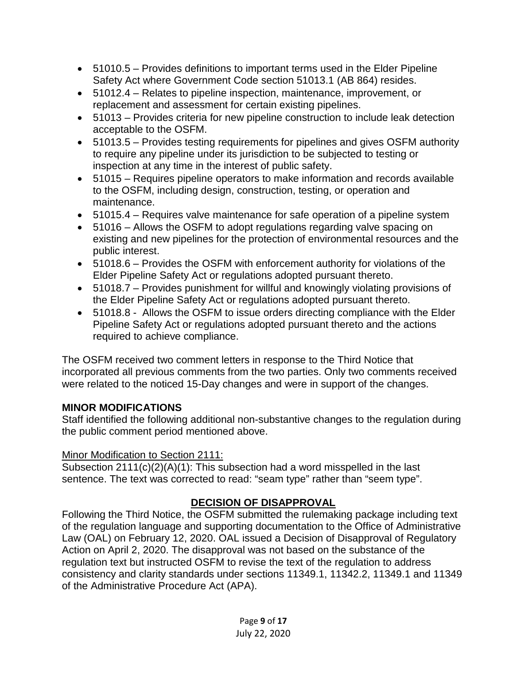- 51010.5 Provides definitions to important terms used in the Elder Pipeline Safety Act where Government Code section 51013.1 (AB 864) resides.
- 51012.4 Relates to pipeline inspection, maintenance, improvement, or replacement and assessment for certain existing pipelines.
- 51013 Provides criteria for new pipeline construction to include leak detection acceptable to the OSFM.
- 51013.5 Provides testing requirements for pipelines and gives OSFM authority to require any pipeline under its jurisdiction to be subjected to testing or inspection at any time in the interest of public safety.
- 51015 Requires pipeline operators to make information and records available to the OSFM, including design, construction, testing, or operation and maintenance.
- 51015.4 Requires valve maintenance for safe operation of a pipeline system
- 51016 Allows the OSFM to adopt regulations regarding valve spacing on existing and new pipelines for the protection of environmental resources and the public interest.
- 51018.6 Provides the OSFM with enforcement authority for violations of the Elder Pipeline Safety Act or regulations adopted pursuant thereto.
- 51018.7 Provides punishment for willful and knowingly violating provisions of the Elder Pipeline Safety Act or regulations adopted pursuant thereto.
- 51018.8 Allows the OSFM to issue orders directing compliance with the Elder Pipeline Safety Act or regulations adopted pursuant thereto and the actions required to achieve compliance.

The OSFM received two comment letters in response to the Third Notice that incorporated all previous comments from the two parties. Only two comments received were related to the noticed 15-Day changes and were in support of the changes.

## **MINOR MODIFICATIONS**

Staff identified the following additional non-substantive changes to the regulation during the public comment period mentioned above.

## Minor Modification to Section 2111:

Subsection 2111(c)(2)(A)(1): This subsection had a word misspelled in the last sentence. The text was corrected to read: "seam type" rather than "seem type".

# **DECISION OF DISAPPROVAL**

Following the Third Notice, the OSFM submitted the rulemaking package including text of the regulation language and supporting documentation to the Office of Administrative Law (OAL) on February 12, 2020. OAL issued a Decision of Disapproval of Regulatory Action on April 2, 2020. The disapproval was not based on the substance of the regulation text but instructed OSFM to revise the text of the regulation to address consistency and clarity standards under sections 11349.1, 11342.2, 11349.1 and 11349 of the Administrative Procedure Act (APA).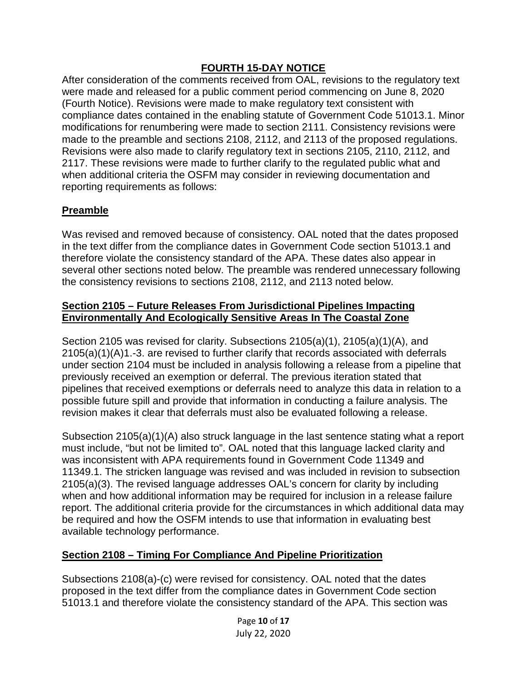### **FOURTH 15-DAY NOTICE**

After consideration of the comments received from OAL, revisions to the regulatory text were made and released for a public comment period commencing on June 8, 2020 (Fourth Notice). Revisions were made to make regulatory text consistent with compliance dates contained in the enabling statute of Government Code 51013.1. Minor modifications for renumbering were made to section 2111. Consistency revisions were made to the preamble and sections 2108, 2112, and 2113 of the proposed regulations. Revisions were also made to clarify regulatory text in sections 2105, 2110, 2112, and 2117. These revisions were made to further clarify to the regulated public what and when additional criteria the OSFM may consider in reviewing documentation and reporting requirements as follows:

## **Preamble**

Was revised and removed because of consistency. OAL noted that the dates proposed in the text differ from the compliance dates in Government Code section 51013.1 and therefore violate the consistency standard of the APA. These dates also appear in several other sections noted below. The preamble was rendered unnecessary following the consistency revisions to sections 2108, 2112, and 2113 noted below.

#### **Section 2105 – Future Releases From Jurisdictional Pipelines Impacting Environmentally And Ecologically Sensitive Areas In The Coastal Zone**

Section 2105 was revised for clarity. Subsections 2105(a)(1), 2105(a)(1)(A), and 2105(a)(1)(A)1.-3. are revised to further clarify that records associated with deferrals under section 2104 must be included in analysis following a release from a pipeline that previously received an exemption or deferral. The previous iteration stated that pipelines that received exemptions or deferrals need to analyze this data in relation to a possible future spill and provide that information in conducting a failure analysis. The revision makes it clear that deferrals must also be evaluated following a release.

Subsection 2105(a)(1)(A) also struck language in the last sentence stating what a report must include, "but not be limited to". OAL noted that this language lacked clarity and was inconsistent with APA requirements found in Government Code 11349 and 11349.1. The stricken language was revised and was included in revision to subsection 2105(a)(3). The revised language addresses OAL's concern for clarity by including when and how additional information may be required for inclusion in a release failure report. The additional criteria provide for the circumstances in which additional data may be required and how the OSFM intends to use that information in evaluating best available technology performance.

### **Section 2108 – Timing For Compliance And Pipeline Prioritization**

Subsections 2108(a)-(c) were revised for consistency. OAL noted that the dates proposed in the text differ from the compliance dates in Government Code section 51013.1 and therefore violate the consistency standard of the APA. This section was

> Page **10** of **17** July 22, 2020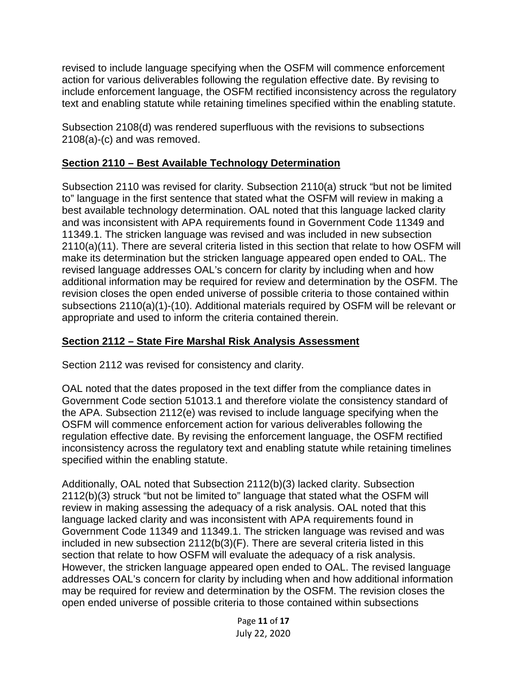revised to include language specifying when the OSFM will commence enforcement action for various deliverables following the regulation effective date. By revising to include enforcement language, the OSFM rectified inconsistency across the regulatory text and enabling statute while retaining timelines specified within the enabling statute.

Subsection 2108(d) was rendered superfluous with the revisions to subsections 2108(a)-(c) and was removed.

## **Section 2110 – Best Available Technology Determination**

Subsection 2110 was revised for clarity. Subsection 2110(a) struck "but not be limited to" language in the first sentence that stated what the OSFM will review in making a best available technology determination. OAL noted that this language lacked clarity and was inconsistent with APA requirements found in Government Code 11349 and 11349.1. The stricken language was revised and was included in new subsection 2110(a)(11). There are several criteria listed in this section that relate to how OSFM will make its determination but the stricken language appeared open ended to OAL. The revised language addresses OAL's concern for clarity by including when and how additional information may be required for review and determination by the OSFM. The revision closes the open ended universe of possible criteria to those contained within subsections 2110(a)(1)-(10). Additional materials required by OSFM will be relevant or appropriate and used to inform the criteria contained therein.

## **Section 2112 – State Fire Marshal Risk Analysis Assessment**

Section 2112 was revised for consistency and clarity.

OAL noted that the dates proposed in the text differ from the compliance dates in Government Code section 51013.1 and therefore violate the consistency standard of the APA. Subsection 2112(e) was revised to include language specifying when the OSFM will commence enforcement action for various deliverables following the regulation effective date. By revising the enforcement language, the OSFM rectified inconsistency across the regulatory text and enabling statute while retaining timelines specified within the enabling statute.

Additionally, OAL noted that Subsection 2112(b)(3) lacked clarity. Subsection 2112(b)(3) struck "but not be limited to" language that stated what the OSFM will review in making assessing the adequacy of a risk analysis. OAL noted that this language lacked clarity and was inconsistent with APA requirements found in Government Code 11349 and 11349.1. The stricken language was revised and was included in new subsection 2112(b(3)(F). There are several criteria listed in this section that relate to how OSFM will evaluate the adequacy of a risk analysis. However, the stricken language appeared open ended to OAL. The revised language addresses OAL's concern for clarity by including when and how additional information may be required for review and determination by the OSFM. The revision closes the open ended universe of possible criteria to those contained within subsections

> Page **11** of **17** July 22, 2020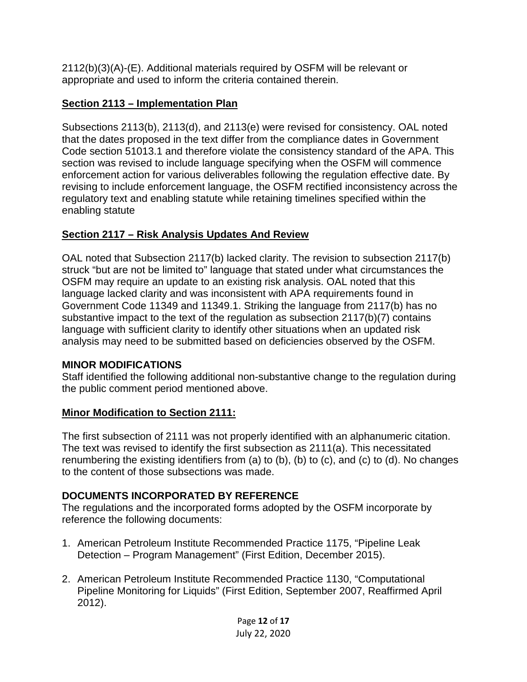2112(b)(3)(A)-(E). Additional materials required by OSFM will be relevant or appropriate and used to inform the criteria contained therein.

# **Section 2113 – Implementation Plan**

Subsections 2113(b), 2113(d), and 2113(e) were revised for consistency. OAL noted that the dates proposed in the text differ from the compliance dates in Government Code section 51013.1 and therefore violate the consistency standard of the APA. This section was revised to include language specifying when the OSFM will commence enforcement action for various deliverables following the regulation effective date. By revising to include enforcement language, the OSFM rectified inconsistency across the regulatory text and enabling statute while retaining timelines specified within the enabling statute

# **Section 2117 – Risk Analysis Updates And Review**

OAL noted that Subsection 2117(b) lacked clarity. The revision to subsection 2117(b) struck "but are not be limited to" language that stated under what circumstances the OSFM may require an update to an existing risk analysis. OAL noted that this language lacked clarity and was inconsistent with APA requirements found in Government Code 11349 and 11349.1. Striking the language from 2117(b) has no substantive impact to the text of the regulation as subsection 2117(b)(7) contains language with sufficient clarity to identify other situations when an updated risk analysis may need to be submitted based on deficiencies observed by the OSFM.

## **MINOR MODIFICATIONS**

Staff identified the following additional non-substantive change to the regulation during the public comment period mentioned above.

## **Minor Modification to Section 2111:**

The first subsection of 2111 was not properly identified with an alphanumeric citation. The text was revised to identify the first subsection as 2111(a). This necessitated renumbering the existing identifiers from (a) to (b), (b) to (c), and (c) to (d). No changes to the content of those subsections was made.

## **DOCUMENTS INCORPORATED BY REFERENCE**

The regulations and the incorporated forms adopted by the OSFM incorporate by reference the following documents:

- 1. American Petroleum Institute Recommended Practice 1175, "Pipeline Leak Detection – Program Management" (First Edition, December 2015).
- 2. American Petroleum Institute Recommended Practice 1130, "Computational Pipeline Monitoring for Liquids" (First Edition, September 2007, Reaffirmed April 2012).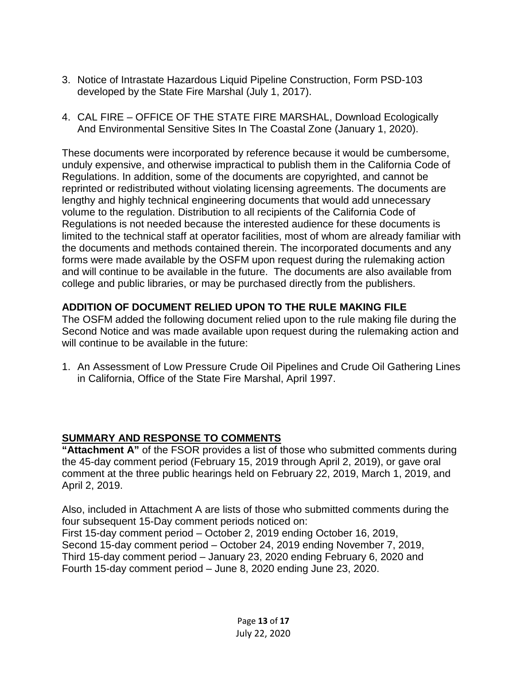- 3. Notice of Intrastate Hazardous Liquid Pipeline Construction, Form PSD-103 developed by the State Fire Marshal (July 1, 2017).
- 4. CAL FIRE OFFICE OF THE STATE FIRE MARSHAL, Download Ecologically And Environmental Sensitive Sites In The Coastal Zone (January 1, 2020).

These documents were incorporated by reference because it would be cumbersome, unduly expensive, and otherwise impractical to publish them in the California Code of Regulations. In addition, some of the documents are copyrighted, and cannot be reprinted or redistributed without violating licensing agreements. The documents are lengthy and highly technical engineering documents that would add unnecessary volume to the regulation. Distribution to all recipients of the California Code of Regulations is not needed because the interested audience for these documents is limited to the technical staff at operator facilities, most of whom are already familiar with the documents and methods contained therein. The incorporated documents and any forms were made available by the OSFM upon request during the rulemaking action and will continue to be available in the future. The documents are also available from college and public libraries, or may be purchased directly from the publishers.

# **ADDITION OF DOCUMENT RELIED UPON TO THE RULE MAKING FILE**

The OSFM added the following document relied upon to the rule making file during the Second Notice and was made available upon request during the rulemaking action and will continue to be available in the future:

1. An Assessment of Low Pressure Crude Oil Pipelines and Crude Oil Gathering Lines in California, Office of the State Fire Marshal, April 1997.

## **SUMMARY AND RESPONSE TO COMMENTS**

**"Attachment A"** of the FSOR provides a list of those who submitted comments during the 45-day comment period (February 15, 2019 through April 2, 2019), or gave oral comment at the three public hearings held on February 22, 2019, March 1, 2019, and April 2, 2019.

Also, included in Attachment A are lists of those who submitted comments during the four subsequent 15-Day comment periods noticed on: First 15-day comment period – October 2, 2019 ending October 16, 2019, Second 15-day comment period – October 24, 2019 ending November 7, 2019, Third 15-day comment period – January 23, 2020 ending February 6, 2020 and Fourth 15-day comment period – June 8, 2020 ending June 23, 2020.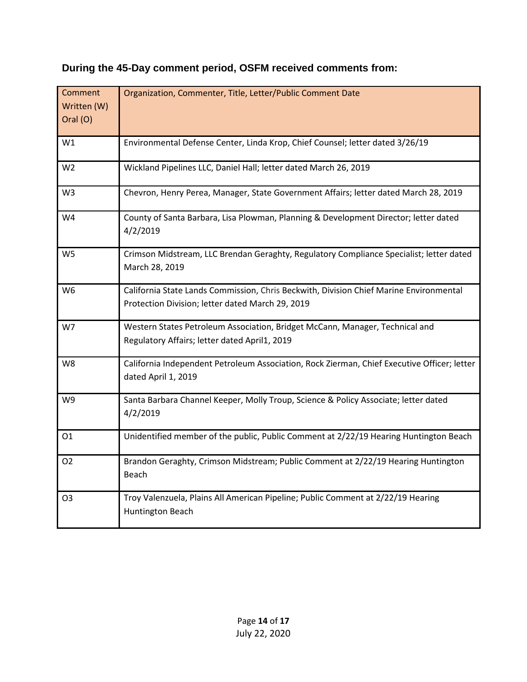| Comment<br>Written (W)<br>Oral (O) | Organization, Commenter, Title, Letter/Public Comment Date                                                                                 |
|------------------------------------|--------------------------------------------------------------------------------------------------------------------------------------------|
| W1                                 | Environmental Defense Center, Linda Krop, Chief Counsel; letter dated 3/26/19                                                              |
| W <sub>2</sub>                     | Wickland Pipelines LLC, Daniel Hall; letter dated March 26, 2019                                                                           |
| W <sub>3</sub>                     | Chevron, Henry Perea, Manager, State Government Affairs; letter dated March 28, 2019                                                       |
| W4                                 | County of Santa Barbara, Lisa Plowman, Planning & Development Director; letter dated<br>4/2/2019                                           |
| W <sub>5</sub>                     | Crimson Midstream, LLC Brendan Geraghty, Regulatory Compliance Specialist; letter dated<br>March 28, 2019                                  |
| W <sub>6</sub>                     | California State Lands Commission, Chris Beckwith, Division Chief Marine Environmental<br>Protection Division; letter dated March 29, 2019 |
| W7                                 | Western States Petroleum Association, Bridget McCann, Manager, Technical and<br>Regulatory Affairs; letter dated April1, 2019              |
| W <sub>8</sub>                     | California Independent Petroleum Association, Rock Zierman, Chief Executive Officer; letter<br>dated April 1, 2019                         |
| W9                                 | Santa Barbara Channel Keeper, Molly Troup, Science & Policy Associate; letter dated<br>4/2/2019                                            |
| 01                                 | Unidentified member of the public, Public Comment at 2/22/19 Hearing Huntington Beach                                                      |
| 02                                 | Brandon Geraghty, Crimson Midstream; Public Comment at 2/22/19 Hearing Huntington<br><b>Beach</b>                                          |
| O3                                 | Troy Valenzuela, Plains All American Pipeline; Public Comment at 2/22/19 Hearing<br>Huntington Beach                                       |

# **During the 45-Day comment period, OSFM received comments from:**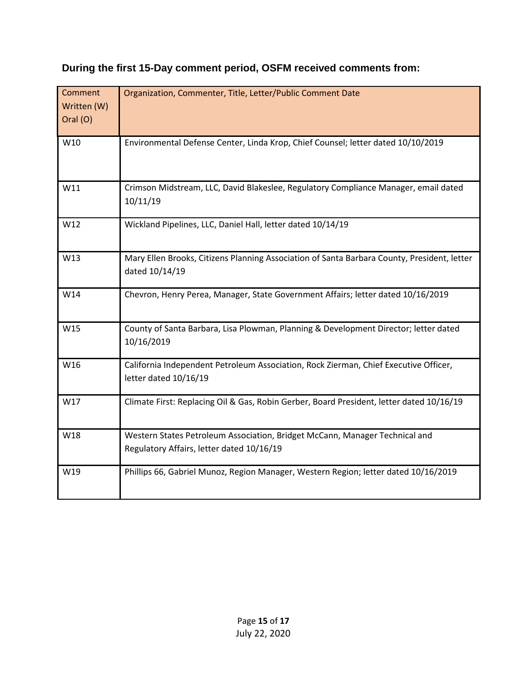| Comment<br>Written (W)<br>Oral (O) | Organization, Commenter, Title, Letter/Public Comment Date                                                               |
|------------------------------------|--------------------------------------------------------------------------------------------------------------------------|
| W10                                | Environmental Defense Center, Linda Krop, Chief Counsel; letter dated 10/10/2019                                         |
| W11                                | Crimson Midstream, LLC, David Blakeslee, Regulatory Compliance Manager, email dated<br>10/11/19                          |
| W12                                | Wickland Pipelines, LLC, Daniel Hall, letter dated 10/14/19                                                              |
| W13                                | Mary Ellen Brooks, Citizens Planning Association of Santa Barbara County, President, letter<br>dated 10/14/19            |
| W14                                | Chevron, Henry Perea, Manager, State Government Affairs; letter dated 10/16/2019                                         |
| W15                                | County of Santa Barbara, Lisa Plowman, Planning & Development Director; letter dated<br>10/16/2019                       |
| W16                                | California Independent Petroleum Association, Rock Zierman, Chief Executive Officer,<br>letter dated 10/16/19            |
| W17                                | Climate First: Replacing Oil & Gas, Robin Gerber, Board President, letter dated 10/16/19                                 |
| W18                                | Western States Petroleum Association, Bridget McCann, Manager Technical and<br>Regulatory Affairs, letter dated 10/16/19 |
| W19                                | Phillips 66, Gabriel Munoz, Region Manager, Western Region; letter dated 10/16/2019                                      |

# **During the first 15-Day comment period, OSFM received comments from:**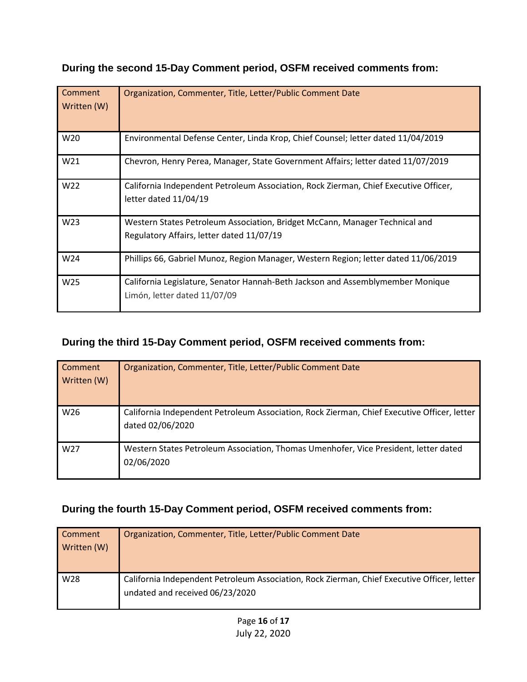|  |  |  | During the second 15-Day Comment period, OSFM received comments from: |  |
|--|--|--|-----------------------------------------------------------------------|--|
|--|--|--|-----------------------------------------------------------------------|--|

| Comment     | Organization, Commenter, Title, Letter/Public Comment Date                           |
|-------------|--------------------------------------------------------------------------------------|
| Written (W) |                                                                                      |
|             |                                                                                      |
|             |                                                                                      |
| W20         | Environmental Defense Center, Linda Krop, Chief Counsel; letter dated 11/04/2019     |
|             |                                                                                      |
| W21         | Chevron, Henry Perea, Manager, State Government Affairs; letter dated 11/07/2019     |
|             |                                                                                      |
| W22         | California Independent Petroleum Association, Rock Zierman, Chief Executive Officer, |
|             | letter dated 11/04/19                                                                |
|             |                                                                                      |
| W23         | Western States Petroleum Association, Bridget McCann, Manager Technical and          |
|             |                                                                                      |
|             | Regulatory Affairs, letter dated 11/07/19                                            |
| W24         | Phillips 66, Gabriel Munoz, Region Manager, Western Region; letter dated 11/06/2019  |
|             |                                                                                      |
| W25         | California Legislature, Senator Hannah-Beth Jackson and Assemblymember Monique       |
|             | Limón, letter dated 11/07/09                                                         |
|             |                                                                                      |
|             |                                                                                      |

# **During the third 15-Day Comment period, OSFM received comments from:**

| Comment<br>Written (W) | Organization, Commenter, Title, Letter/Public Comment Date                                                      |
|------------------------|-----------------------------------------------------------------------------------------------------------------|
| W26                    | California Independent Petroleum Association, Rock Zierman, Chief Executive Officer, letter<br>dated 02/06/2020 |
| W <sub>27</sub>        | Western States Petroleum Association, Thomas Umenhofer, Vice President, letter dated<br>02/06/2020              |

# **During the fourth 15-Day Comment period, OSFM received comments from:**

| <b>Comment</b><br>Written (W) | Organization, Commenter, Title, Letter/Public Comment Date                                                                     |
|-------------------------------|--------------------------------------------------------------------------------------------------------------------------------|
| W <sub>28</sub>               | California Independent Petroleum Association, Rock Zierman, Chief Executive Officer, letter<br>undated and received 06/23/2020 |